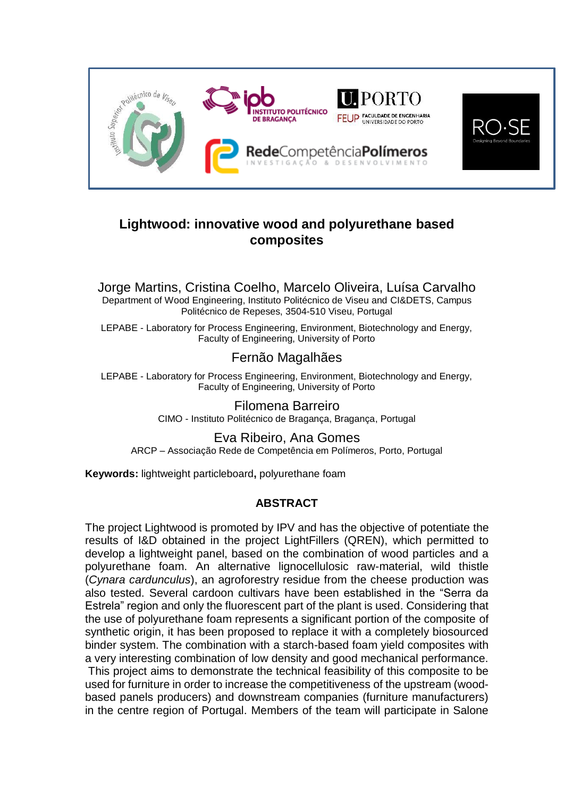

## **Lightwood: innovative wood and polyurethane based composites**

Jorge Martins, Cristina Coelho, Marcelo Oliveira, Luísa Carvalho Department of Wood Engineering, Instituto Politécnico de Viseu and CI&DETS, Campus Politécnico de Repeses, 3504-510 Viseu, Portugal

LEPABE - Laboratory for Process Engineering, Environment, Biotechnology and Energy, Faculty of Engineering, University of Porto

## Fernão Magalhães

LEPABE - Laboratory for Process Engineering, Environment, Biotechnology and Energy, Faculty of Engineering, University of Porto

> Filomena Barreiro CIMO - Instituto Politécnico de Bragança, Bragança, Portugal

Eva Ribeiro, Ana Gomes ARCP – Associação Rede de Competência em Polímeros, Porto, Portugal

**Keywords:** lightweight particleboard**,** polyurethane foam

## **ABSTRACT**

The project Lightwood is promoted by IPV and has the objective of potentiate the results of I&D obtained in the project LightFillers (QREN), which permitted to develop a lightweight panel, based on the combination of wood particles and a polyurethane foam. An alternative lignocellulosic raw-material, wild thistle (*Cynara cardunculus*), an agroforestry residue from the cheese production was also tested. Several cardoon cultivars have been established in the "Serra da Estrela" region and only the fluorescent part of the plant is used. Considering that the use of polyurethane foam represents a significant portion of the composite of synthetic origin, it has been proposed to replace it with a completely biosourced binder system. The combination with a starch-based foam yield composites with a very interesting combination of low density and good mechanical performance.

This project aims to demonstrate the technical feasibility of this composite to be used for furniture in order to increase the competitiveness of the upstream (woodbased panels producers) and downstream companies (furniture manufacturers) in the centre region of Portugal. Members of the team will participate in Salone